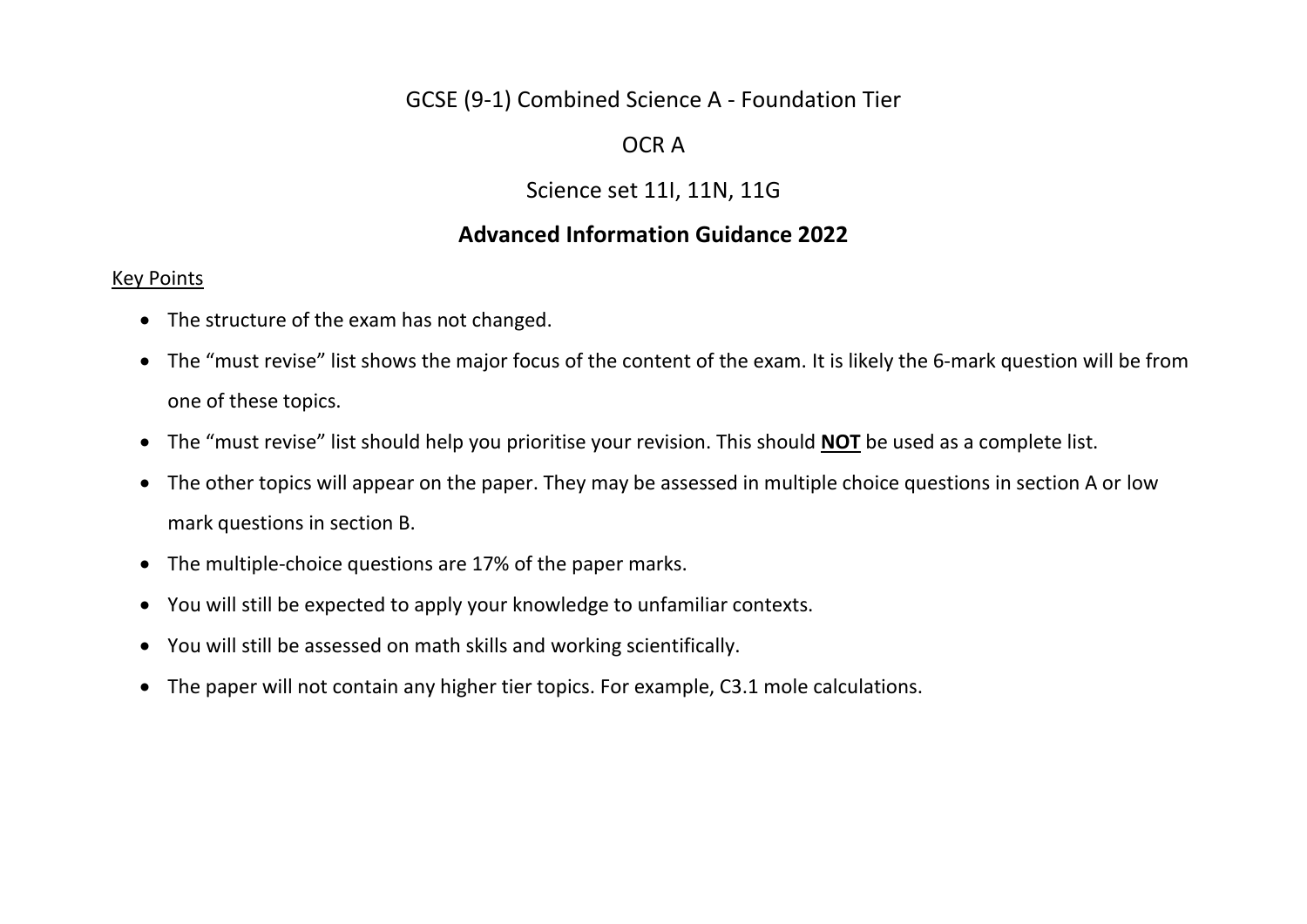# GCSE (9-1) Combined Science A - Foundation Tier

# OCR A

# Science set 11I, 11N, 11G

# **Advanced Information Guidance 2022**

### Key Points

- The structure of the exam has not changed.
- The "must revise" list shows the major focus of the content of the exam. It is likely the 6-mark question will be from one of these topics.
- The "must revise" list should help you prioritise your revision. This should **NOT** be used as a complete list.
- The other topics will appear on the paper. They may be assessed in multiple choice questions in section A or low mark questions in section B.
- The multiple-choice questions are 17% of the paper marks.
- You will still be expected to apply your knowledge to unfamiliar contexts.
- You will still be assessed on math skills and working scientifically.
- The paper will not contain any higher tier topics. For example, C3.1 mole calculations.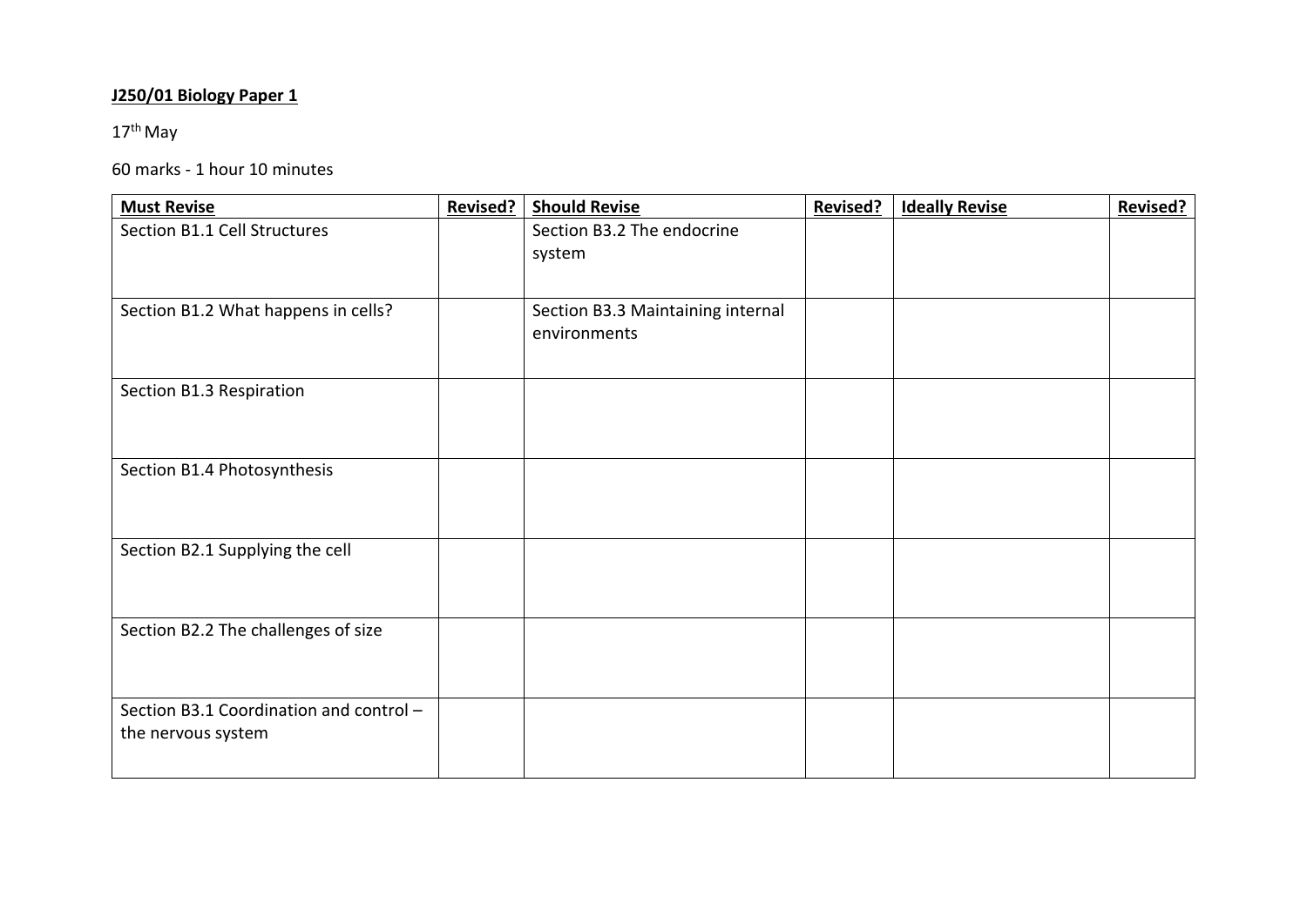## **J250/01 Biology Paper 1**

# $17^{\text{th}}$  May

### 60 marks - 1 hour 10 minutes

| <b>Must Revise</b>                      | <b>Revised?</b> | <b>Should Revise</b>              | <b>Revised?</b> | <b>Ideally Revise</b> | <b>Revised?</b> |
|-----------------------------------------|-----------------|-----------------------------------|-----------------|-----------------------|-----------------|
| Section B1.1 Cell Structures            |                 | Section B3.2 The endocrine        |                 |                       |                 |
|                                         |                 | system                            |                 |                       |                 |
|                                         |                 |                                   |                 |                       |                 |
| Section B1.2 What happens in cells?     |                 | Section B3.3 Maintaining internal |                 |                       |                 |
|                                         |                 | environments                      |                 |                       |                 |
|                                         |                 |                                   |                 |                       |                 |
| Section B1.3 Respiration                |                 |                                   |                 |                       |                 |
|                                         |                 |                                   |                 |                       |                 |
|                                         |                 |                                   |                 |                       |                 |
| Section B1.4 Photosynthesis             |                 |                                   |                 |                       |                 |
|                                         |                 |                                   |                 |                       |                 |
|                                         |                 |                                   |                 |                       |                 |
| Section B2.1 Supplying the cell         |                 |                                   |                 |                       |                 |
|                                         |                 |                                   |                 |                       |                 |
|                                         |                 |                                   |                 |                       |                 |
| Section B2.2 The challenges of size     |                 |                                   |                 |                       |                 |
|                                         |                 |                                   |                 |                       |                 |
|                                         |                 |                                   |                 |                       |                 |
| Section B3.1 Coordination and control - |                 |                                   |                 |                       |                 |
| the nervous system                      |                 |                                   |                 |                       |                 |
|                                         |                 |                                   |                 |                       |                 |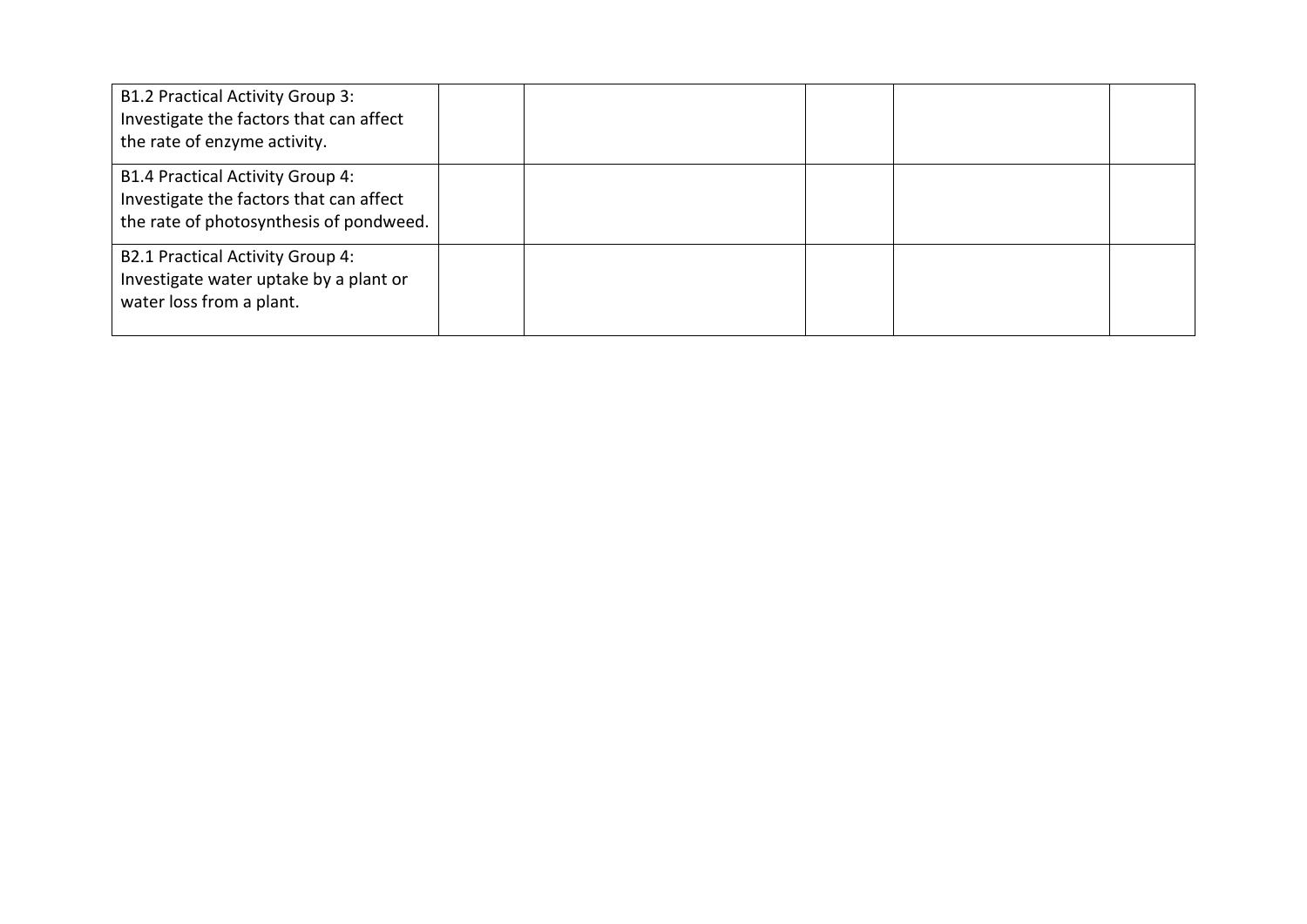| <b>B1.2 Practical Activity Group 3:</b><br>Investigate the factors that can affect<br>the rate of enzyme activity.            |  |  |  |
|-------------------------------------------------------------------------------------------------------------------------------|--|--|--|
| <b>B1.4 Practical Activity Group 4:</b><br>Investigate the factors that can affect<br>the rate of photosynthesis of pondweed. |  |  |  |
| <b>B2.1 Practical Activity Group 4:</b><br>Investigate water uptake by a plant or<br>water loss from a plant.                 |  |  |  |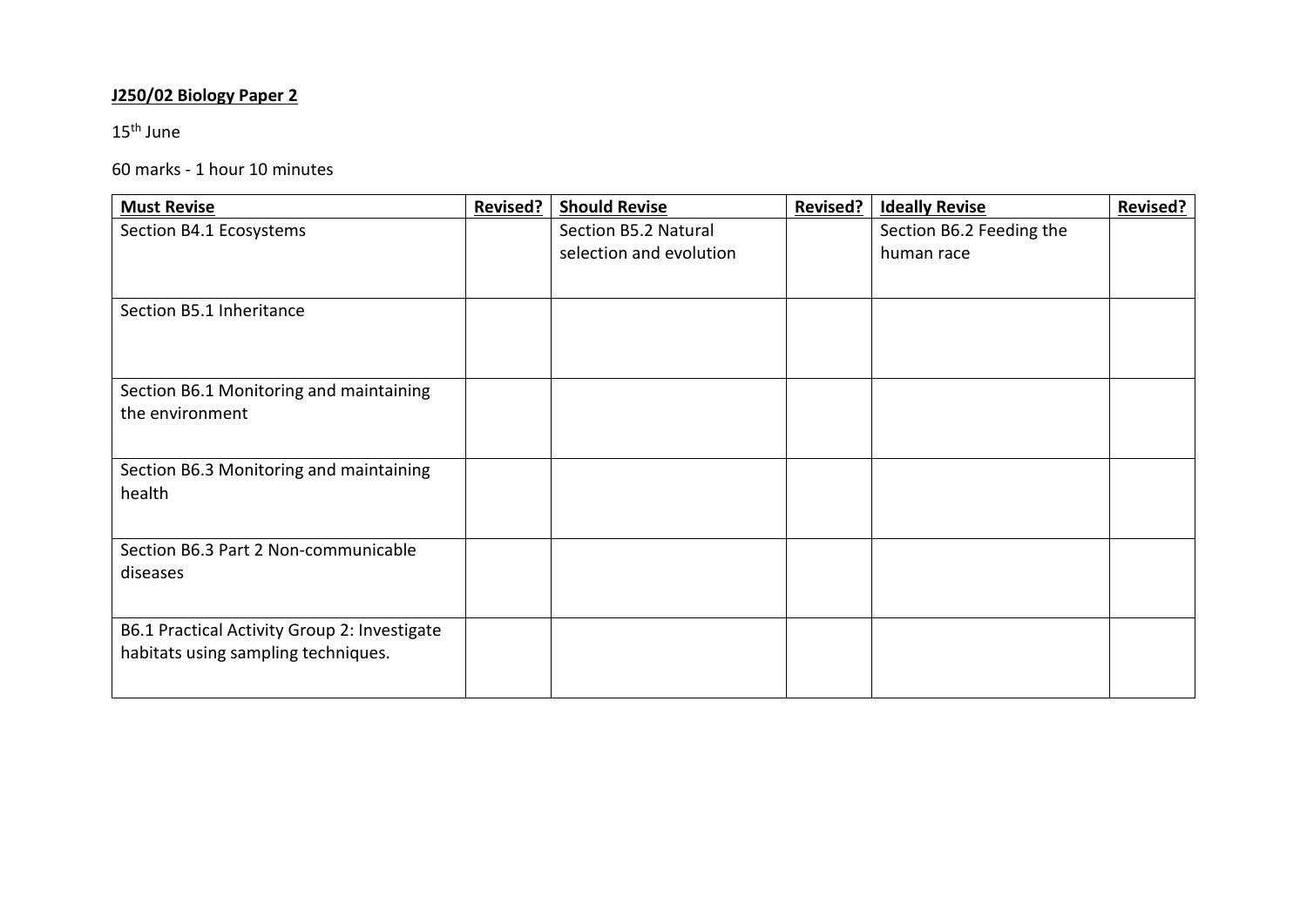## **J250/02 Biology Paper 2**

15th June

#### 60 marks - 1 hour 10 minutes

| <b>Must Revise</b>                           | <b>Revised?</b> | <b>Should Revise</b>    | <b>Revised?</b> | <b>Ideally Revise</b>    | <b>Revised?</b> |
|----------------------------------------------|-----------------|-------------------------|-----------------|--------------------------|-----------------|
| Section B4.1 Ecosystems                      |                 | Section B5.2 Natural    |                 | Section B6.2 Feeding the |                 |
|                                              |                 | selection and evolution |                 | human race               |                 |
|                                              |                 |                         |                 |                          |                 |
| Section B5.1 Inheritance                     |                 |                         |                 |                          |                 |
|                                              |                 |                         |                 |                          |                 |
|                                              |                 |                         |                 |                          |                 |
| Section B6.1 Monitoring and maintaining      |                 |                         |                 |                          |                 |
| the environment                              |                 |                         |                 |                          |                 |
|                                              |                 |                         |                 |                          |                 |
| Section B6.3 Monitoring and maintaining      |                 |                         |                 |                          |                 |
| health                                       |                 |                         |                 |                          |                 |
|                                              |                 |                         |                 |                          |                 |
| Section B6.3 Part 2 Non-communicable         |                 |                         |                 |                          |                 |
| diseases                                     |                 |                         |                 |                          |                 |
|                                              |                 |                         |                 |                          |                 |
| B6.1 Practical Activity Group 2: Investigate |                 |                         |                 |                          |                 |
| habitats using sampling techniques.          |                 |                         |                 |                          |                 |
|                                              |                 |                         |                 |                          |                 |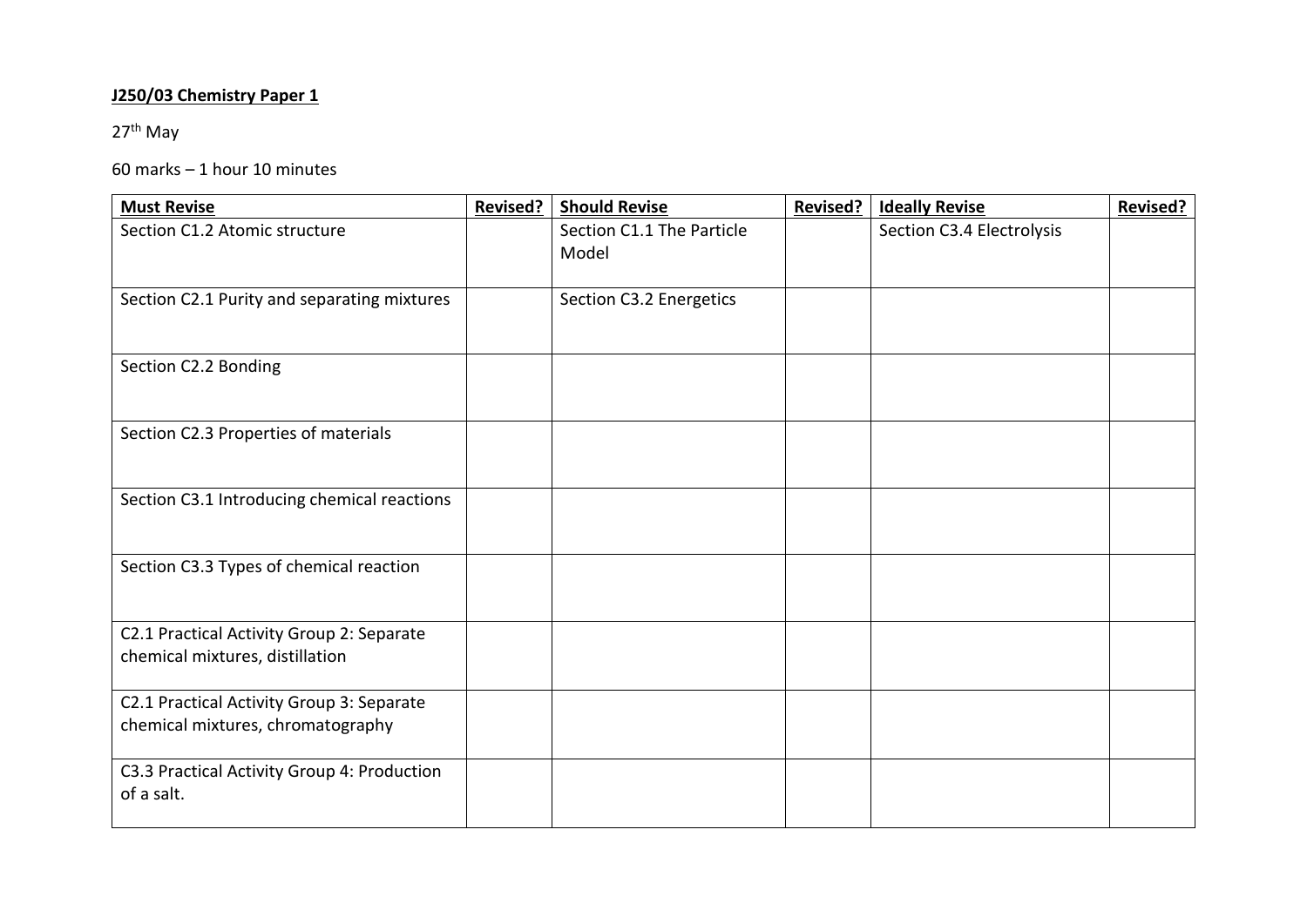## **J250/03 Chemistry Paper 1**

27<sup>th</sup> May

### 60 marks – 1 hour 10 minutes

| <b>Must Revise</b>                                                             | <b>Revised?</b> | <b>Should Revise</b>               | <b>Revised?</b> | <b>Ideally Revise</b>     | <b>Revised?</b> |
|--------------------------------------------------------------------------------|-----------------|------------------------------------|-----------------|---------------------------|-----------------|
| Section C1.2 Atomic structure                                                  |                 | Section C1.1 The Particle<br>Model |                 | Section C3.4 Electrolysis |                 |
| Section C2.1 Purity and separating mixtures                                    |                 | Section C3.2 Energetics            |                 |                           |                 |
| Section C2.2 Bonding                                                           |                 |                                    |                 |                           |                 |
| Section C2.3 Properties of materials                                           |                 |                                    |                 |                           |                 |
| Section C3.1 Introducing chemical reactions                                    |                 |                                    |                 |                           |                 |
| Section C3.3 Types of chemical reaction                                        |                 |                                    |                 |                           |                 |
| C2.1 Practical Activity Group 2: Separate<br>chemical mixtures, distillation   |                 |                                    |                 |                           |                 |
| C2.1 Practical Activity Group 3: Separate<br>chemical mixtures, chromatography |                 |                                    |                 |                           |                 |
| C3.3 Practical Activity Group 4: Production<br>of a salt.                      |                 |                                    |                 |                           |                 |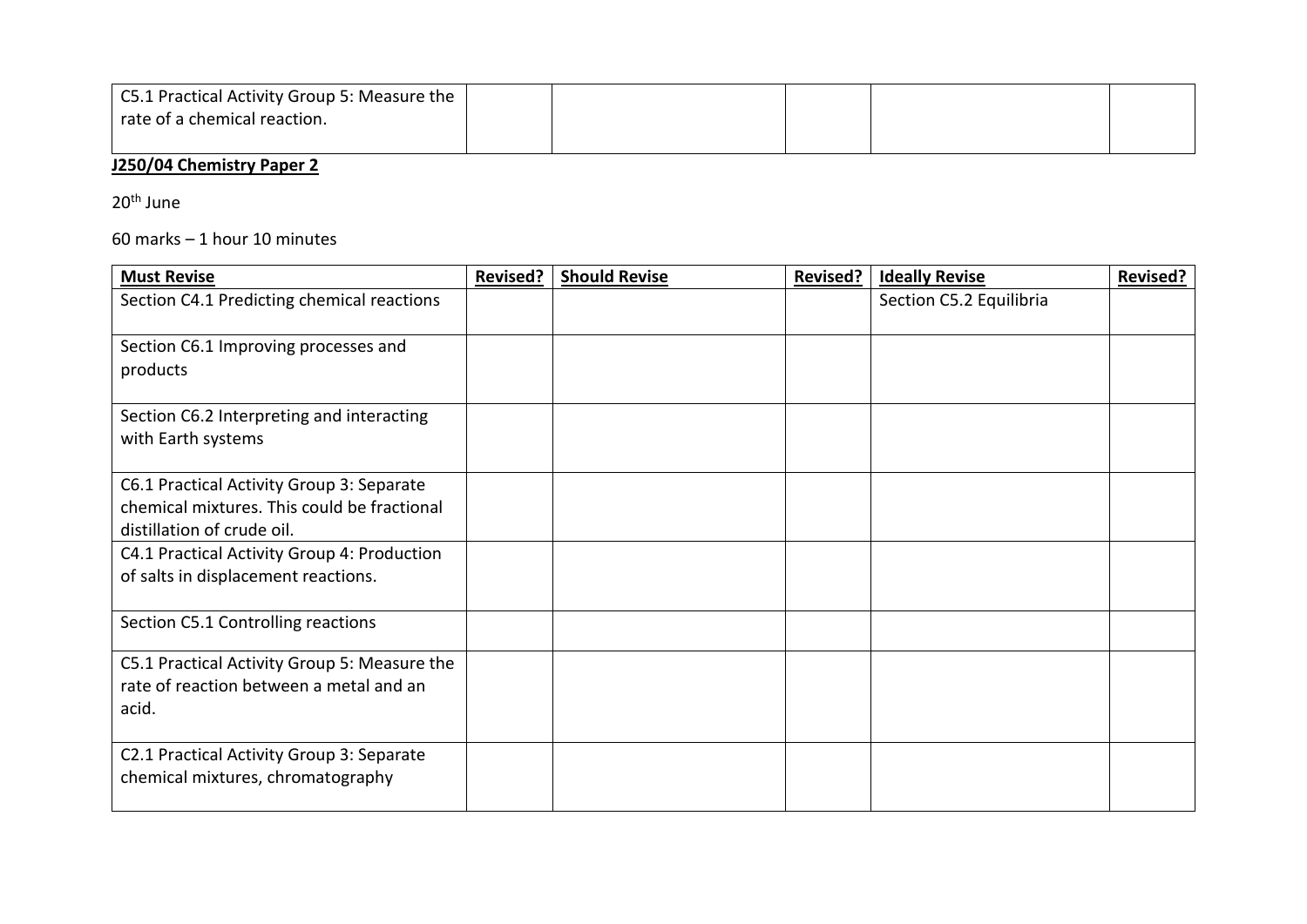| C5.1 Practical Activity Group 5: Measure the |  |  |  |
|----------------------------------------------|--|--|--|
| rate of a chemical reaction.                 |  |  |  |
|                                              |  |  |  |

## **J250/04 Chemistry Paper 2**

20<sup>th</sup> June

60 marks – 1 hour 10 minutes

| <b>Must Revise</b>                           | <b>Revised?</b> | <b>Should Revise</b> | <b>Revised?</b> | <b>Ideally Revise</b>   | <b>Revised?</b> |
|----------------------------------------------|-----------------|----------------------|-----------------|-------------------------|-----------------|
| Section C4.1 Predicting chemical reactions   |                 |                      |                 | Section C5.2 Equilibria |                 |
| Section C6.1 Improving processes and         |                 |                      |                 |                         |                 |
| products                                     |                 |                      |                 |                         |                 |
| Section C6.2 Interpreting and interacting    |                 |                      |                 |                         |                 |
| with Earth systems                           |                 |                      |                 |                         |                 |
| C6.1 Practical Activity Group 3: Separate    |                 |                      |                 |                         |                 |
| chemical mixtures. This could be fractional  |                 |                      |                 |                         |                 |
| distillation of crude oil.                   |                 |                      |                 |                         |                 |
| C4.1 Practical Activity Group 4: Production  |                 |                      |                 |                         |                 |
| of salts in displacement reactions.          |                 |                      |                 |                         |                 |
| Section C5.1 Controlling reactions           |                 |                      |                 |                         |                 |
| C5.1 Practical Activity Group 5: Measure the |                 |                      |                 |                         |                 |
| rate of reaction between a metal and an      |                 |                      |                 |                         |                 |
| acid.                                        |                 |                      |                 |                         |                 |
| C2.1 Practical Activity Group 3: Separate    |                 |                      |                 |                         |                 |
| chemical mixtures, chromatography            |                 |                      |                 |                         |                 |
|                                              |                 |                      |                 |                         |                 |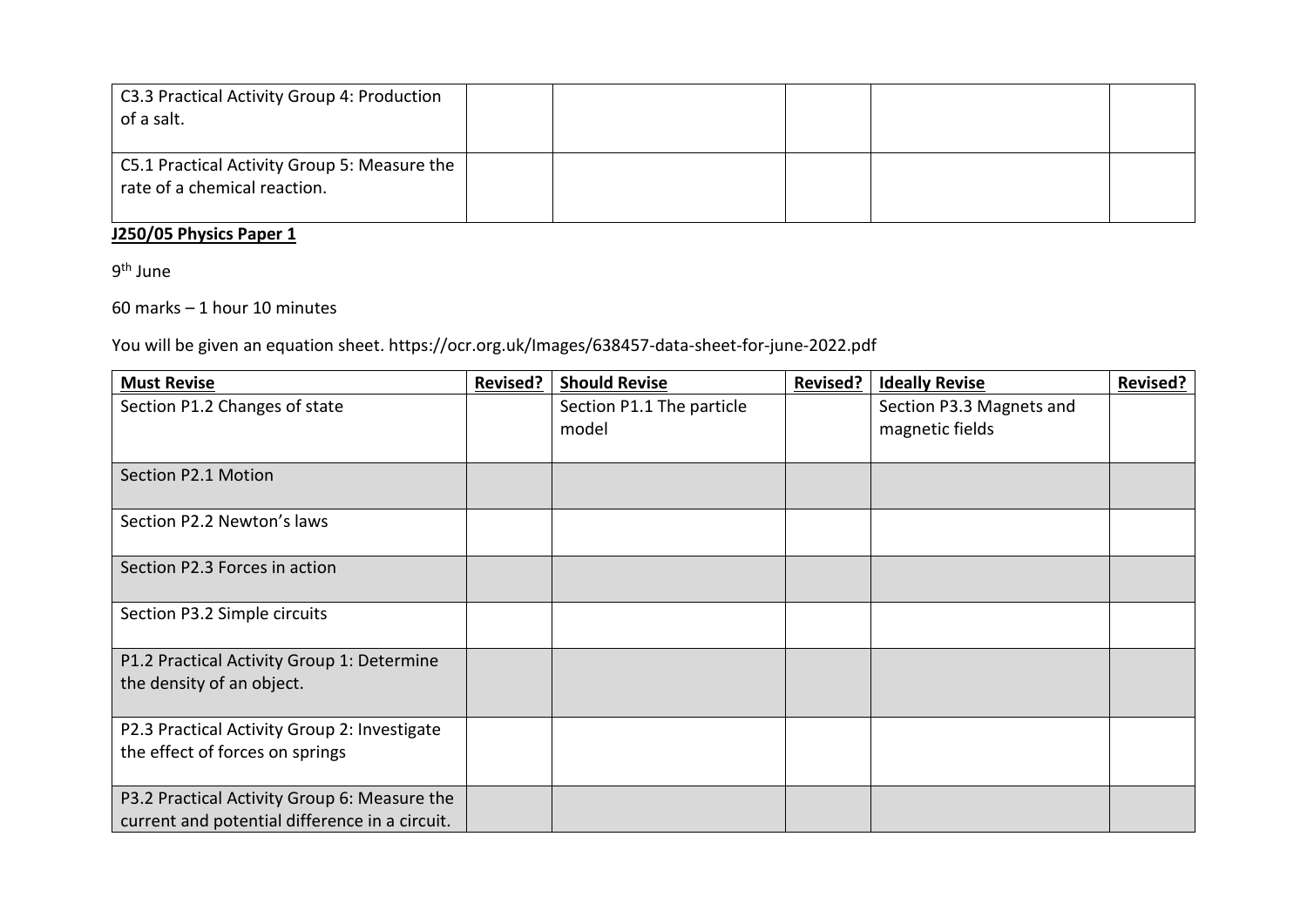| C3.3 Practical Activity Group 4: Production<br>of a salt.                    |  |  |  |
|------------------------------------------------------------------------------|--|--|--|
| C5.1 Practical Activity Group 5: Measure the<br>rate of a chemical reaction. |  |  |  |

### **J250/05 Physics Paper 1**

9<sup>th</sup> June

60 marks – 1 hour 10 minutes

You will be given an equation sheet. https://ocr.org.uk/Images/638457-data-sheet-for-june-2022.pdf

| <b>Must Revise</b>                             | <b>Revised?</b> | <b>Should Revise</b>      | <b>Revised?</b> | <b>Ideally Revise</b>    | <b>Revised?</b> |
|------------------------------------------------|-----------------|---------------------------|-----------------|--------------------------|-----------------|
| Section P1.2 Changes of state                  |                 | Section P1.1 The particle |                 | Section P3.3 Magnets and |                 |
|                                                |                 | model                     |                 | magnetic fields          |                 |
| Section P2.1 Motion                            |                 |                           |                 |                          |                 |
| Section P2.2 Newton's laws                     |                 |                           |                 |                          |                 |
| Section P2.3 Forces in action                  |                 |                           |                 |                          |                 |
| Section P3.2 Simple circuits                   |                 |                           |                 |                          |                 |
| P1.2 Practical Activity Group 1: Determine     |                 |                           |                 |                          |                 |
| the density of an object.                      |                 |                           |                 |                          |                 |
| P2.3 Practical Activity Group 2: Investigate   |                 |                           |                 |                          |                 |
| the effect of forces on springs                |                 |                           |                 |                          |                 |
| P3.2 Practical Activity Group 6: Measure the   |                 |                           |                 |                          |                 |
| current and potential difference in a circuit. |                 |                           |                 |                          |                 |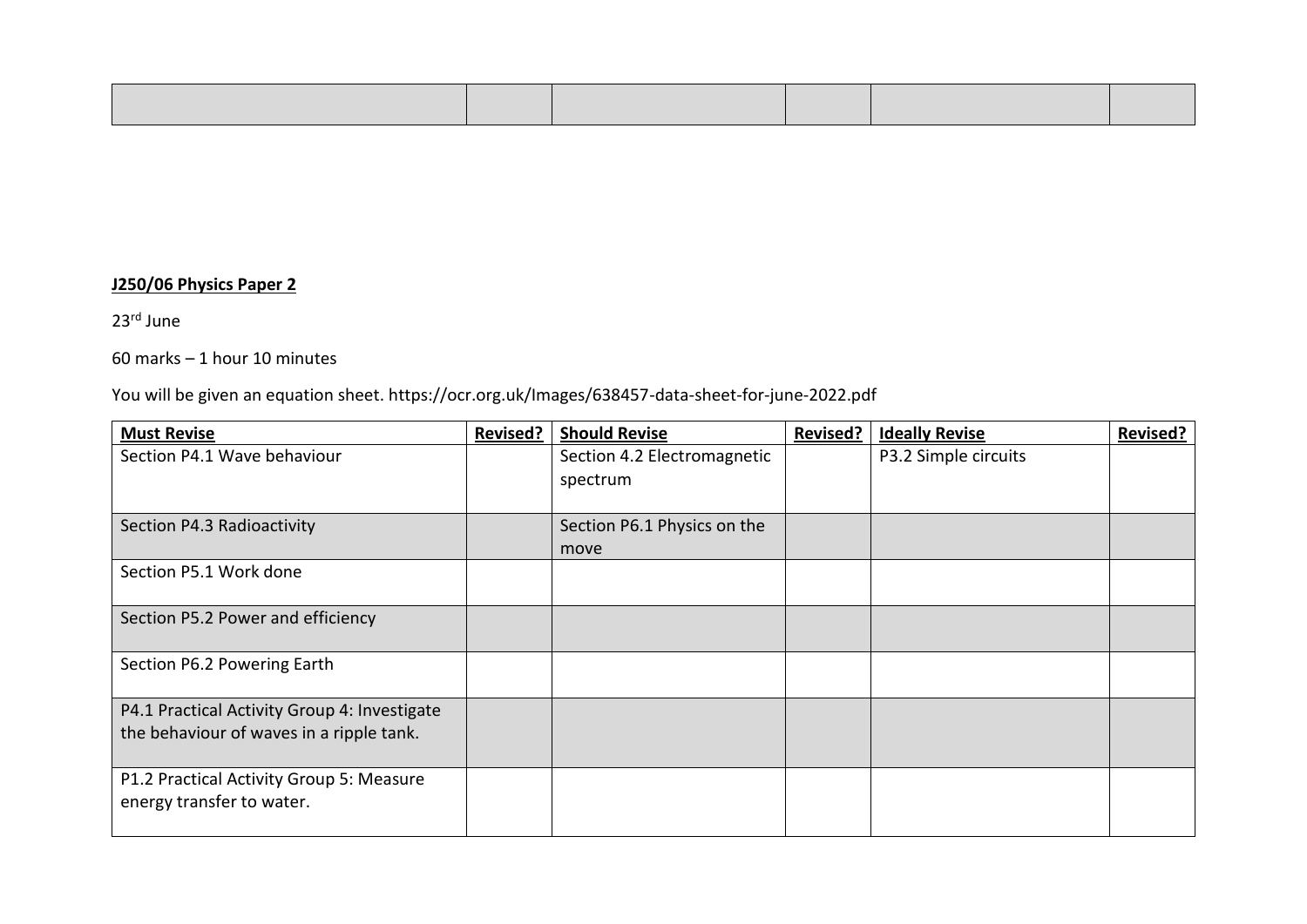#### **J250/06 Physics Paper 2**

23rd June

60 marks – 1 hour 10 minutes

You will be given an equation sheet. https://ocr.org.uk/Images/638457-data-sheet-for-june-2022.pdf

| <b>Must Revise</b>                                                                       | <b>Revised?</b> | <b>Should Revise</b>                    | <b>Revised?</b> | <b>Ideally Revise</b> | <b>Revised?</b> |
|------------------------------------------------------------------------------------------|-----------------|-----------------------------------------|-----------------|-----------------------|-----------------|
| Section P4.1 Wave behaviour                                                              |                 | Section 4.2 Electromagnetic<br>spectrum |                 | P3.2 Simple circuits  |                 |
| Section P4.3 Radioactivity                                                               |                 | Section P6.1 Physics on the<br>move     |                 |                       |                 |
| Section P5.1 Work done                                                                   |                 |                                         |                 |                       |                 |
| Section P5.2 Power and efficiency                                                        |                 |                                         |                 |                       |                 |
| Section P6.2 Powering Earth                                                              |                 |                                         |                 |                       |                 |
| P4.1 Practical Activity Group 4: Investigate<br>the behaviour of waves in a ripple tank. |                 |                                         |                 |                       |                 |
|                                                                                          |                 |                                         |                 |                       |                 |
| P1.2 Practical Activity Group 5: Measure<br>energy transfer to water.                    |                 |                                         |                 |                       |                 |